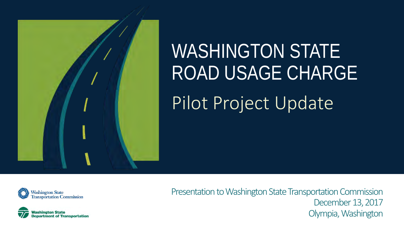

# WASHINGTON STATE ROAD USAGE CHARGE Pilot Project Update





Presentation to Washington State Transportation Commission December 13, 2017 Olympia, Washington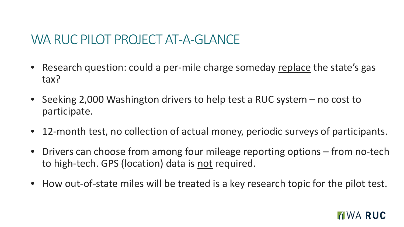#### WA RUC PILOT PROJECT AT-A-GLANCE

- Research question: could a per-mile charge someday replace the state's gas tax?
- Seeking 2,000 Washington drivers to help test a RUC system no cost to participate.
- 12-month test, no collection of actual money, periodic surveys of participants.
- Drivers can choose from among four mileage reporting options from no-tech to high-tech. GPS (location) data is not required.
- How out-of-state miles will be treated is a key research topic for the pilot test.

#### **TWA RUC**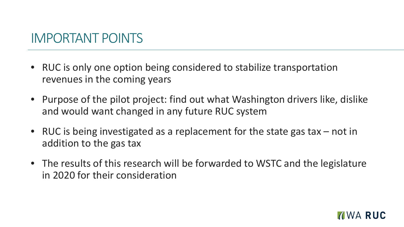#### IMPORTANT POINTS

- RUC is only one option being considered to stabilize transportation revenues in the coming years
- Purpose of the pilot project: find out what Washington drivers like, dislike and would want changed in any future RUC system
- RUC is being investigated as a replacement for the state gas tax not in addition to the gas tax
- The results of this research will be forwarded to WSTC and the legislature in 2020 for their consideration

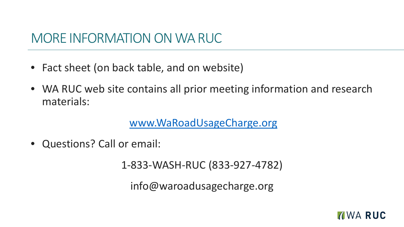#### MORE INFORMATION ON WA RUC

- Fact sheet (on back table, and on website)
- WA RUC web site contains all prior meeting information and research materials:

[www.WaRoadUsageCharge.org](http://www.waroadusagecharge.org/)

• Questions? Call or email:

1-833-WASH-RUC (833-927-4782)

info@waroadusagecharge.org

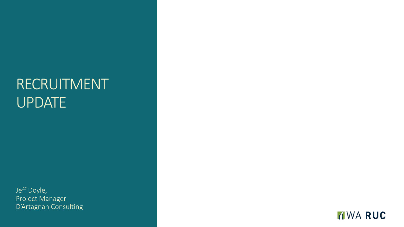## RECRUITMENT UPDATE

Jeff Doyle, Project Manager D'Artagnan Consulting

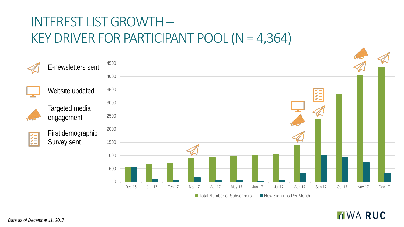## INTEREST LIST GROWTH – KEY DRIVER FOR PARTICIPANT POOL (N = 4,364)



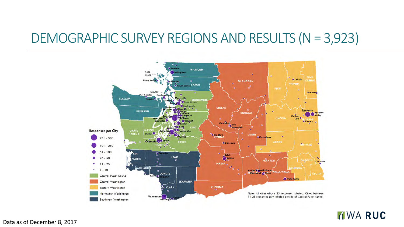#### DEMOGRAPHIC SURVEY REGIONS AND RESULTS (N = 3,923)



**MWARUC** 

Data as of December 8, 2017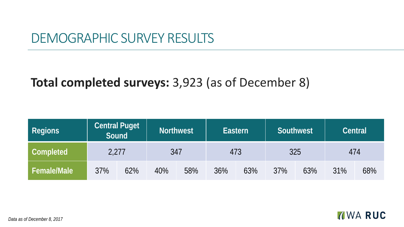#### DEMOGRAPHIC SURVEY RESULTS

#### **Total completed surveys:** 3,923 (as of December 8)

| <b>Regions</b>     | Sound | <b>Central Puget</b> | <b>Northwest</b> |     | Eastern |     | <b>Southwest</b> |     | <b>Central</b> |     |
|--------------------|-------|----------------------|------------------|-----|---------|-----|------------------|-----|----------------|-----|
| Completed          | 2,277 |                      | 347              |     | 473     |     | 325              |     | 474            |     |
| <b>Female/Male</b> | 37%   | 62%                  | 40%              | 58% | 36%     | 63% | 37%              | 63% | 31%            | 68% |

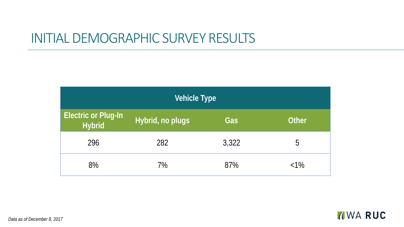#### INITIAL DEMOGRAPHIC SURVEY RESULTS

| Vehicle Type                                |                  |       |              |  |  |  |
|---------------------------------------------|------------------|-------|--------------|--|--|--|
| <b>Electric or Plug-In</b><br><b>Hybrid</b> | Hybrid, no plugs | Gas   | <b>Other</b> |  |  |  |
| 296                                         | 282              | 3,322 | 5            |  |  |  |
| 8%                                          | 7%               | 87%   | $< 1\%$      |  |  |  |

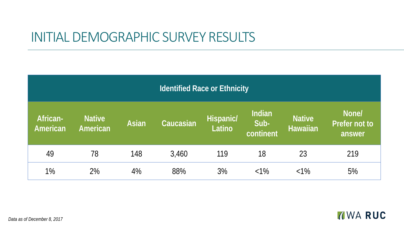#### INITIAL DEMOGRAPHIC SURVEY RESULTS

| <b>Identified Race or Ethnicity</b> |                           |              |           |                     |                             |                                  |                                  |
|-------------------------------------|---------------------------|--------------|-----------|---------------------|-----------------------------|----------------------------------|----------------------------------|
| African-<br>American                | <b>Native</b><br>American | <b>Asian</b> | Caucasian | Hispanic/<br>Latino | Indian<br>Sub-<br>continent | <b>Native</b><br><b>Hawaiian</b> | None/<br>Prefer not to<br>answer |
| 49                                  | 78                        | 148          | 3,460     | 119                 | 18                          | 23                               | 219                              |
| 1%                                  | 2%                        | 4%           | 88%       | 3%                  | $< 1\%$                     | $< 1\%$                          | 5%                               |



*Data as of December 8, 2017*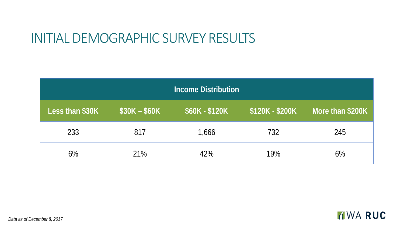#### INITIAL DEMOGRAPHIC SURVEY RESULTS

| <b>Income Distribution</b> |               |                |                 |                  |  |  |  |
|----------------------------|---------------|----------------|-----------------|------------------|--|--|--|
| Less than \$30K            | $$30K - $60K$ | \$60K - \$120K | \$120K - \$200K | More than \$200K |  |  |  |
| 233                        | 817           | 1,666          | 732             | 245              |  |  |  |
| $6\%$                      | 21%           | 42%            | 19%             | $6\%$            |  |  |  |

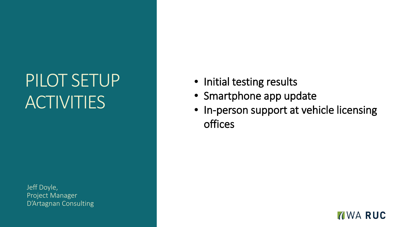## PILOT SETUP **ACTIVITIES**

Jeff Doyle, Project Manager D'Artagnan Consulting

- Initial testing results
- Smartphone app update
- In-person support at vehicle licensing offices

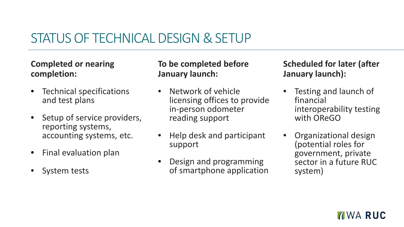### STATUS OF TECHNICAL DESIGN & SETUP

#### **Completed or nearing completion:**

- Technical specifications and test plans
- Setup of service providers, reporting systems, accounting systems, etc.
- Final evaluation plan
- System tests

#### **To be completed before January launch:**

- Network of vehicle licensing offices to provide in-person odometer reading support
- Help desk and participant support
- Design and programming of smartphone application

#### **Scheduled for later (after January launch):**

- Testing and launch of financial interoperability testing with OReGO
- Organizational design (potential roles for government, private sector in a future RUC system)

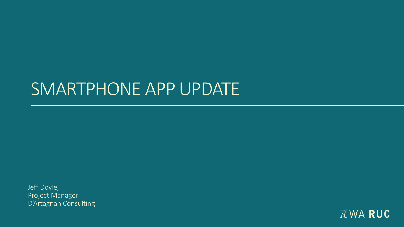## SMARTPHONE APP UPDATE

Jeff Doyle, Project Manager D'Artagnan Consulting

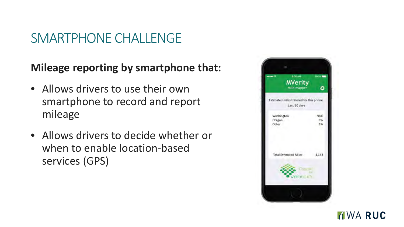#### SMARTPHONE CHALLENGE

#### **Mileage reporting by smartphone that:**

- Allows drivers to use their own smartphone to record and report mileage
- Allows drivers to decide whether or when to enable location-based services (GPS)



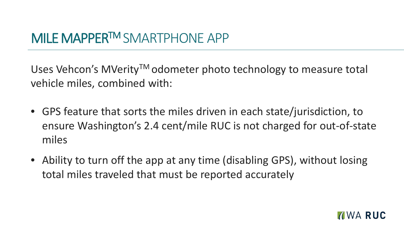### MILE MAPPERTM SMARTPHONE APP

Uses Vehcon's MVerity<sup>™</sup> odometer photo technology to measure total vehicle miles, combined with:

- GPS feature that sorts the miles driven in each state/jurisdiction, to ensure Washington's 2.4 cent/mile RUC is not charged for out-of-state miles
- Ability to turn off the app at any time (disabling GPS), without losing total miles traveled that must be reported accurately

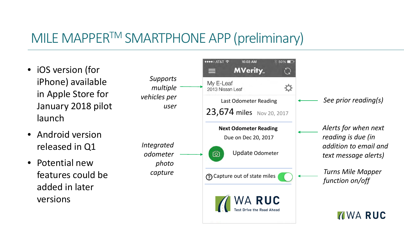### MILE MAPPER™ SMARTPHONE APP (preliminary)

- iOS version (for iPhone) available in Apple Store for January 2018 pilot launch
- Android version released in Q1
- Potential new features could be added in later versions

*Integrated odometer photo capture*

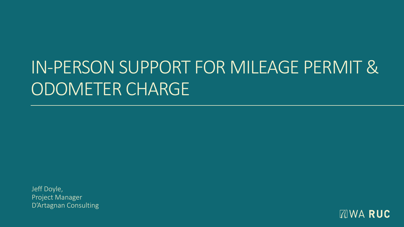## IN-PERSON SUPPORT FOR MILEAGE PERMIT & ODOMETER CHARGE

Jeff Doyle, Project Manager D'Artagnan Consulting

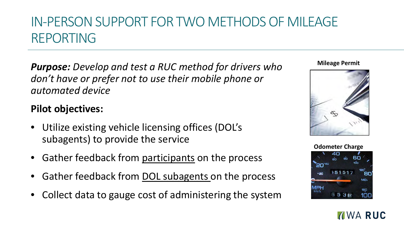## IN-PERSON SUPPORT FOR TWO METHODS OF MILEAGE REPORTING

*Purpose: Develop and test a RUC method for drivers who don't have or prefer not to use their mobile phone or automated device* 

#### **Pilot objectives:**

- Utilize existing vehicle licensing offices (DOL's subagents) to provide the service
- Gather feedback from participants on the process
- Gather feedback from DOL subagents on the process
- Collect data to gauge cost of administering the system

#### **Mileage Permit**





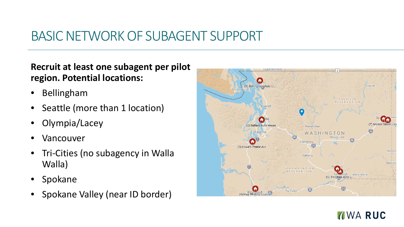### BASIC NETWORK OF SUBAGENT SUPPORT

#### **Recruit at least one subagent per pilot region. Potential locations:**

- Bellingham
- Seattle (more than 1 location)
- Olympia/Lacey
- **Vancouver**
- Tri-Cities (no subagency in Walla Walla)
- **Spokane**
- Spokane Valley (near ID border)



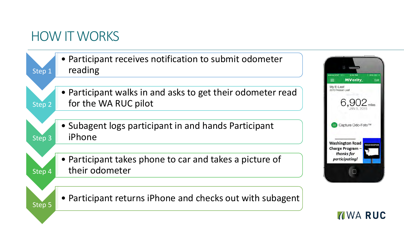### HOW IT WORKS

| • Participant receives notification to submit odometer<br>reading<br>Step 1                  |                                                                       |
|----------------------------------------------------------------------------------------------|-----------------------------------------------------------------------|
| • Participant walks in and asks to get their odometer read<br>for the WA RUC pilot<br>Step 2 | <b>MVerity</b><br>≡<br>Edit<br>My E-Leaf<br>2013 Nissan Leaf<br>6.902 |
| • Subagent logs participant in and hands Participant<br>iPhone<br>Step 3                     | Capture Odo-Foto™<br><b>Washington Road</b><br><b>WASHINGTON</b>      |
| • Participant takes phone to car and takes a picture of<br>their odometer<br>Step 4          | Charge Program -<br>thanks for<br>participating!                      |
| • Participant returns iPhone and checks out with subagent<br>Step 5                          |                                                                       |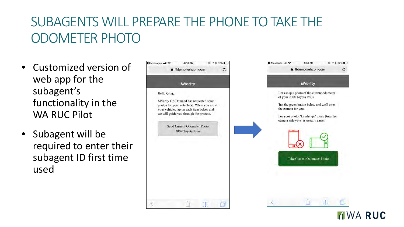## SUBAGENTS WILL PREPARE THE PHONE TO TAKE THE ODOMETER PHOTO

- Customized version of web app for the subagent's functionality in the WA RUC Pilot
- Subagent will be required to enter their subagent ID first time used



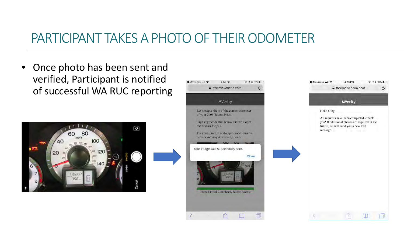#### PARTICIPANT TAKES A PHOTO OF THEIR ODOMETER

• Once photo has been sent and verified, Participant is notified of successful WA RUC reporting



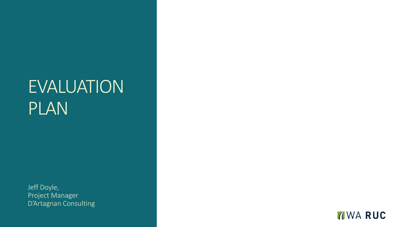## EVALUATION PLAN

Jeff Doyle, Project Manager D'Artagnan Consulting

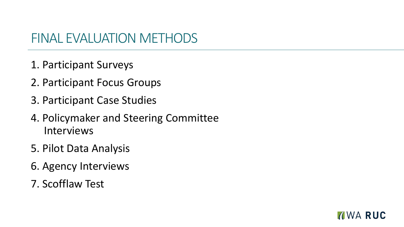#### FINAL EVALUATION METHODS

- 1. Participant Surveys
- 2. Participant Focus Groups
- 3. Participant Case Studies
- 4. Policymaker and Steering Committee Interviews
- 5. Pilot Data Analysis
- 6. Agency Interviews
- 7. Scofflaw Test

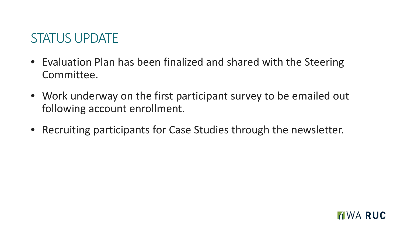#### STATUS UPDATE

- Evaluation Plan has been finalized and shared with the Steering Committee.
- Work underway on the first participant survey to be emailed out following account enrollment.
- Recruiting participants for Case Studies through the newsletter.

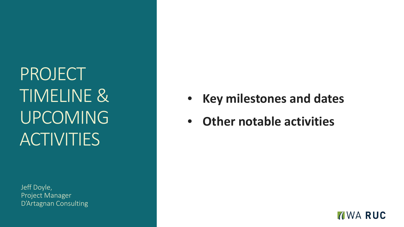PROJECT TIMELINE & UPCOMING **ACTIVITIES** 

Jeff Doyle, Project Manager D'Artagnan Consulting

- **Key milestones and dates**
- **Other notable activities**

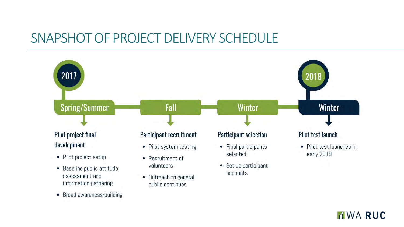#### SNAPSHOT OF PROJECT DELIVERY SCHEDULE



• Broad awareness-building

**NO RUC**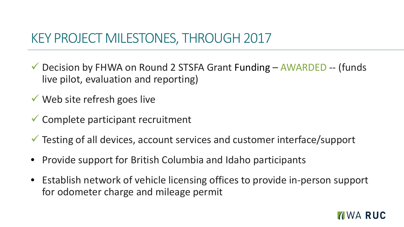#### KEY PROJECT MILESTONES, THROUGH 2017

 Decision by FHWA on Round 2 STSFA Grant Funding – AWARDED -- (funds live pilot, evaluation and reporting)

Web site refresh goes live

 $\checkmark$  Complete participant recruitment

Testing of all devices, account services and customer interface/support

- Provide support for British Columbia and Idaho participants
- Establish network of vehicle licensing offices to provide in-person support for odometer charge and mileage permit

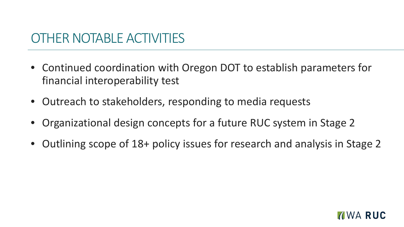#### OTHER NOTABLE ACTIVITIES

- Continued coordination with Oregon DOT to establish parameters for financial interoperability test
- Outreach to stakeholders, responding to media requests
- Organizational design concepts for a future RUC system in Stage 2
- Outlining scope of 18+ policy issues for research and analysis in Stage 2